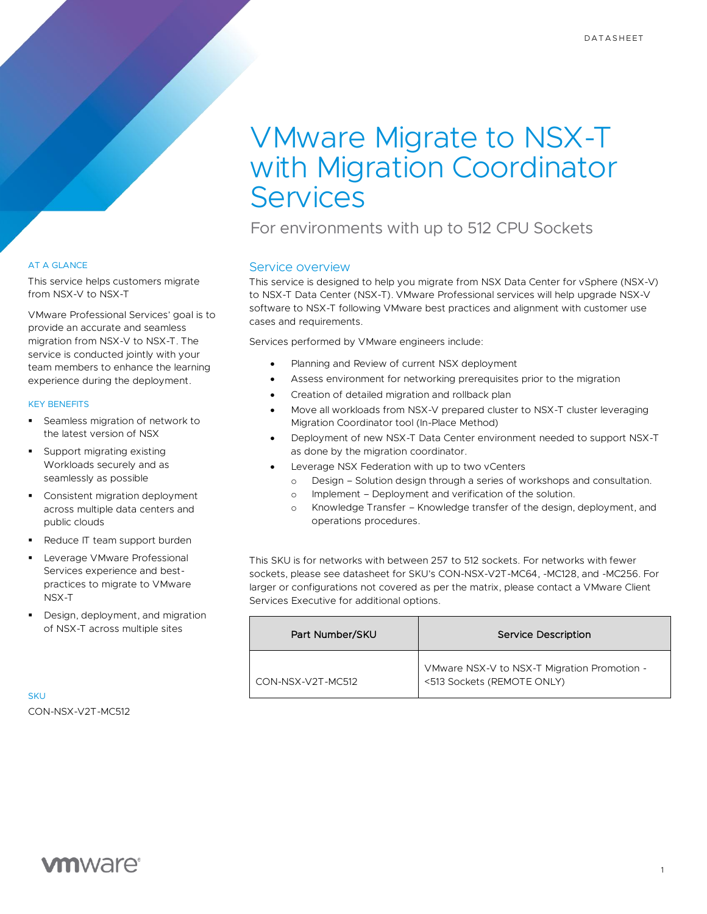# VMware Migrate to NSX-T with Migration Coordinator **Services**

For environments with up to 512 CPU Sockets

# Service overview

This service is designed to help you migrate from NSX Data Center for vSphere (NSX-V) to NSX-T Data Center (NSX-T). VMware Professional services will help upgrade NSX-V software to NSX-T following VMware best practices and alignment with customer use cases and requirements.

Services performed by VMware engineers include:

- Planning and Review of current NSX deployment
	- Assess environment for networking prerequisites prior to the migration
- Creation of detailed migration and rollback plan
- Move all workloads from NSX-V prepared cluster to NSX-T cluster leveraging Migration Coordinator tool (In-Place Method)
- Deployment of new NSX-T Data Center environment needed to support NSX-T as done by the migration coordinator.
- Leverage NSX Federation with up to two yCenters
	- o Design Solution design through a series of workshops and consultation.
	- o Implement Deployment and verification of the solution.
	- o Knowledge Transfer Knowledge transfer of the design, deployment, and operations procedures.

This SKU is for networks with between 257 to 512 sockets. For networks with fewer sockets, please see datasheet for SKU's CON-NSX-V2T-MC64, -MC128, and -MC256. For larger or configurations not covered as per the matrix, please contact a VMware Client Services Executive for additional options.

| Part Number/SKU   | Service Description                                                       |
|-------------------|---------------------------------------------------------------------------|
| CON-NSX-V2T-MC512 | VMware NSX-V to NSX-T Migration Promotion -<br><513 Sockets (REMOTE ONLY) |

AT A GLANCE

This service helps customers migrate from NSX-V to NSX-T

VMware Professional Services' goal is to provide an accurate and seamless migration from NSX-V to NSX-T. The service is conducted jointly with your team members to enhance the learning experience during the deployment.

## KEY BENEFITS

- Seamless migration of network to the latest version of NSX
- Support migrating existing Workloads securely and as seamlessly as possible
- Consistent migration deployment across multiple data centers and public clouds
- Reduce IT team support burden
- Leverage VMware Professional Services experience and bestpractices to migrate to VMware NSX-T
- Design, deployment, and migration of NSX-T across multiple sites

**SKU** CON-NSX-V2T-MC512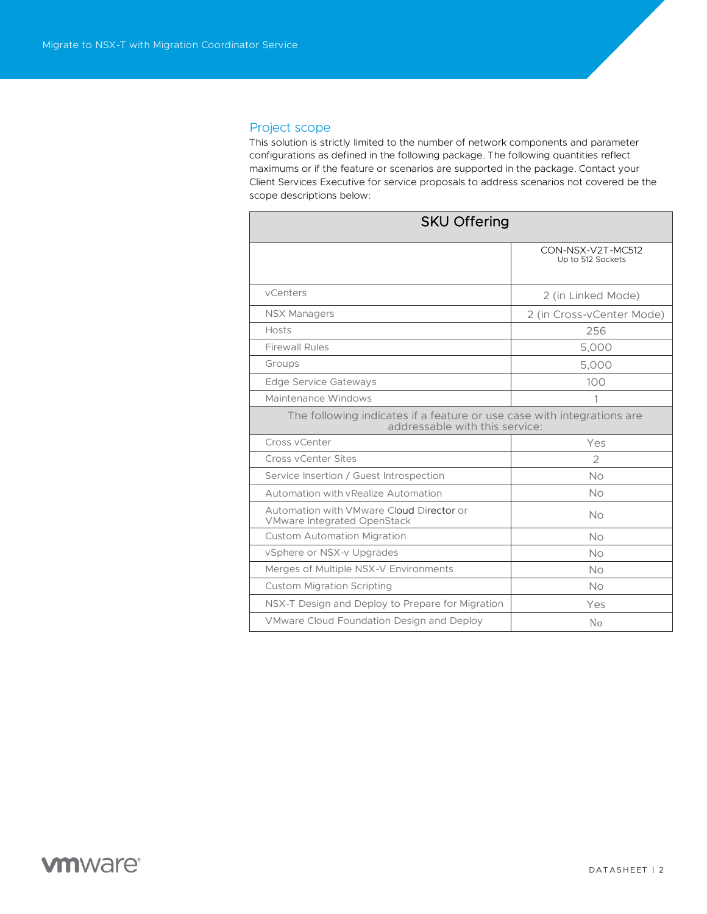# Project scope

This solution is strictly limited to the number of network components and parameter configurations as defined in the following package. The following quantities reflect maximums or if the feature or scenarios are supported in the package. Contact your Client Services Executive for service proposals to address scenarios not covered be the scope descriptions below:

| <b>SKU Offering</b>                                                                                      |                                        |
|----------------------------------------------------------------------------------------------------------|----------------------------------------|
|                                                                                                          | CON-NSX-V2T-MC512<br>Up to 512 Sockets |
| vCenters                                                                                                 | 2 (in Linked Mode)                     |
| <b>NSX Managers</b>                                                                                      | 2 (in Cross-vCenter Mode)              |
| Hosts                                                                                                    | 256                                    |
| <b>Firewall Rules</b>                                                                                    | 5,000                                  |
| Groups                                                                                                   | 5,000                                  |
| <b>Edge Service Gateways</b>                                                                             | 100                                    |
| Maintenance Windows                                                                                      | 1                                      |
| The following indicates if a feature or use case with integrations are<br>addressable with this service: |                                        |
| Cross vCenter                                                                                            | Yes                                    |
| Cross yCenter Sites                                                                                      | $\overline{2}$                         |
| Service Insertion / Guest Introspection                                                                  | No                                     |
| Automation with vRealize Automation                                                                      | No                                     |
| Automation with VMware Cloud Director or<br><b>VMware Integrated OpenStack</b>                           | No                                     |
| <b>Custom Automation Migration</b>                                                                       | No                                     |
| vSphere or NSX-v Upgrades                                                                                | No                                     |
| Merges of Multiple NSX-V Environments                                                                    | No                                     |
| <b>Custom Migration Scripting</b>                                                                        | <b>No</b>                              |
| NSX-T Design and Deploy to Prepare for Migration                                                         | Yes                                    |
| VMware Cloud Foundation Design and Deploy                                                                | No                                     |

# **vm**ware<sup>®</sup>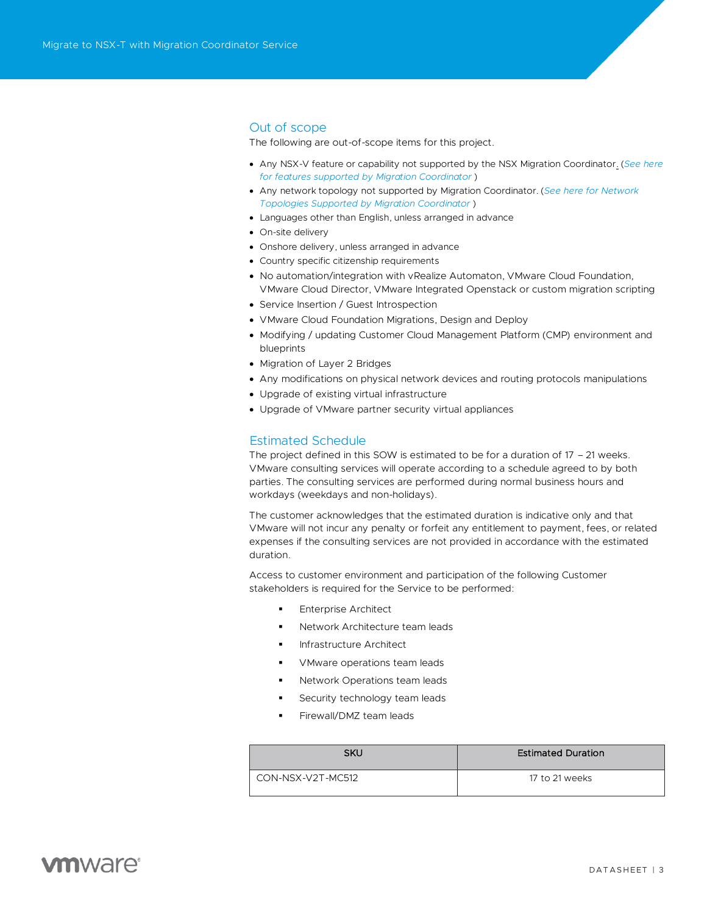# Out of scope

The following are out-of-scope items for this project.

- Any NSX-V feature or capability not supported by the NSX Migration Coordinator. (*[See here](https://docs.vmware.com/en/VMware-NSX-T-Data-Center/3.1/migration/GUID-2A39C982-5BCC-400F-8761-F133F994A2C6.html#GUID-2A39C982-5BCC-400F-8761-F133F994A2C6)  for features supported [by Migration Coordinator](https://docs.vmware.com/en/VMware-NSX-T-Data-Center/3.1/migration/GUID-2A39C982-5BCC-400F-8761-F133F994A2C6.html#GUID-2A39C982-5BCC-400F-8761-F133F994A2C6)* )
- Any network topology not supported by Migration Coordinator. (*[See here for Network](https://docs.vmware.com/en/VMware-NSX-T-Data-Center/3.1/migration/GUID-FA5EFF22-B7CA-4FF8-A0D3-C0CB013F10F1.html)  [Topologies Supported by Migration Coordinator](https://docs.vmware.com/en/VMware-NSX-T-Data-Center/3.1/migration/GUID-FA5EFF22-B7CA-4FF8-A0D3-C0CB013F10F1.html)* )
- Languages other than English, unless arranged in advance
- On-site delivery
- Onshore delivery, unless arranged in advance
- Country specific citizenship requirements
- No automation/integration with vRealize Automaton, VMware Cloud Foundation, VMware Cloud Director, VMware Integrated Openstack or custom migration scripting
- Service Insertion / Guest Introspection
- VMware Cloud Foundation Migrations, Design and Deploy
- Modifying / updating Customer Cloud Management Platform (CMP) environment and blueprints
- Migration of Layer 2 Bridges
- Any modifications on physical network devices and routing protocols manipulations
- Upgrade of existing virtual infrastructure
- Upgrade of VMware partner security virtual appliances

#### Estimated Schedule

The project defined in this SOW is estimated to be for a duration of 17 – 21 weeks. VMware consulting services will operate according to a schedule agreed to by both parties. The consulting services are performed during normal business hours and workdays (weekdays and non-holidays).

The customer acknowledges that the estimated duration is indicative only and that VMware will not incur any penalty or forfeit any entitlement to payment, fees, or related expenses if the consulting services are not provided in accordance with the estimated duration.

Access to customer environment and participation of the following Customer stakeholders is required for the Service to be performed:

- **Enterprise Architect**
- Network Architecture team leads
- **Infrastructure Architect**
- VMware operations team leads
- Network Operations team leads
- Security technology team leads
- Firewall/DMZ team leads

| SKU                | <b>Estimated Duration</b> |
|--------------------|---------------------------|
| LCON-NSX-V2T-MC512 | 17 to 21 weeks            |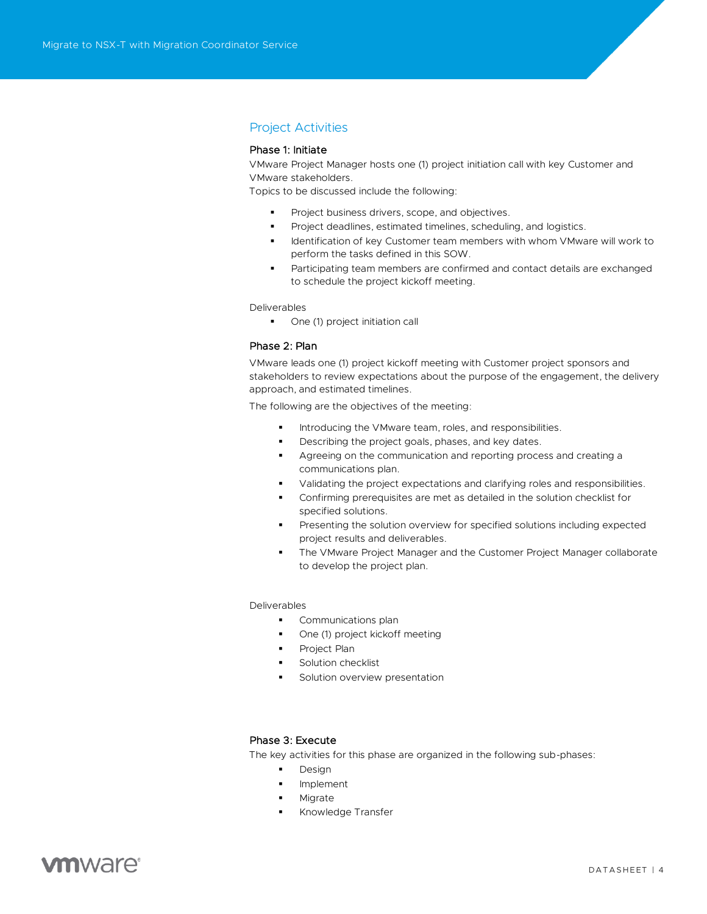# Project Activities

## Phase 1: Initiate

VMware Project Manager hosts one (1) project initiation call with key Customer and VMware stakeholders.

Topics to be discussed include the following:

- Project business drivers, scope, and objectives.
- Project deadlines, estimated timelines, scheduling, and logistics.
- Identification of key Customer team members with whom VMware will work to perform the tasks defined in this SOW.
- Participating team members are confirmed and contact details are exchanged to schedule the project kickoff meeting.

Deliverables

■ One (1) project initiation call

#### Phase 2: Plan

VMware leads one (1) project kickoff meeting with Customer project sponsors and stakeholders to review expectations about the purpose of the engagement, the delivery approach, and estimated timelines.

The following are the objectives of the meeting:

- Introducing the VMware team, roles, and responsibilities.
- Describing the project goals, phases, and key dates.
- Agreeing on the communication and reporting process and creating a communications plan.
- Validating the project expectations and clarifying roles and responsibilities.
- Confirming prerequisites are met as detailed in the solution checklist for specified solutions.
- Presenting the solution overview for specified solutions including expected project results and deliverables.
- The VMware Project Manager and the Customer Project Manager collaborate to develop the project plan.

#### Deliverables

- **•** Communications plan
- One (1) project kickoff meeting
- Project Plan
- Solution checklist
- Solution overview presentation

## Phase 3: Execute

The key activities for this phase are organized in the following sub-phases:

- Design
- Implement
- Migrate
- Knowledge Transfer

# **vm**ware<sup>®</sup>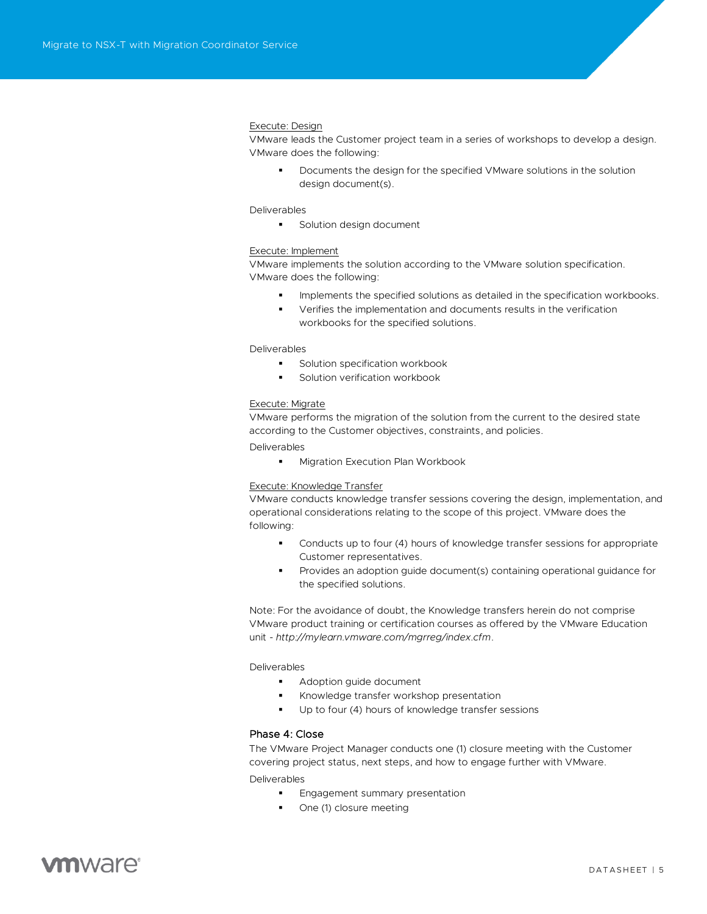#### Execute: Design

VMware leads the Customer project team in a series of workshops to develop a design. VMware does the following:

Documents the design for the specified VMware solutions in the solution design document(s).

#### Deliverables

■ Solution design document

### Execute: Implement

VMware implements the solution according to the VMware solution specification. VMware does the following:

- **•** Implements the specified solutions as detailed in the specification workbooks.
- Verifies the implementation and documents results in the verification workbooks for the specified solutions.

#### Deliverables

- Solution specification workbook
- Solution verification workbook

#### Execute: Migrate

VMware performs the migration of the solution from the current to the desired state according to the Customer objectives, constraints, and policies.

Deliverables

■ Migration Execution Plan Workbook

#### Execute: Knowledge Transfer

VMware conducts knowledge transfer sessions covering the design, implementation, and operational considerations relating to the scope of this project. VMware does the following:

- **•** Conducts up to four (4) hours of knowledge transfer sessions for appropriate Customer representatives.
- Provides an adoption guide document(s) containing operational guidance for the specified solutions.

Note: For the avoidance of doubt, the Knowledge transfers herein do not comprise VMware product training or certification courses as offered by the VMware Education unit - *<http://mylearn.vmware.com/mgrreg/index.cfm>*.

Deliverables

- Adoption quide document
- Knowledge transfer workshop presentation
- Up to four (4) hours of knowledge transfer sessions

#### Phase 4: Close

The VMware Project Manager conducts one (1) closure meeting with the Customer covering project status, next steps, and how to engage further with VMware. Deliverables

- **Engagement summary presentation**
- One (1) closure meeting

# **vm**ware<sup>®</sup>